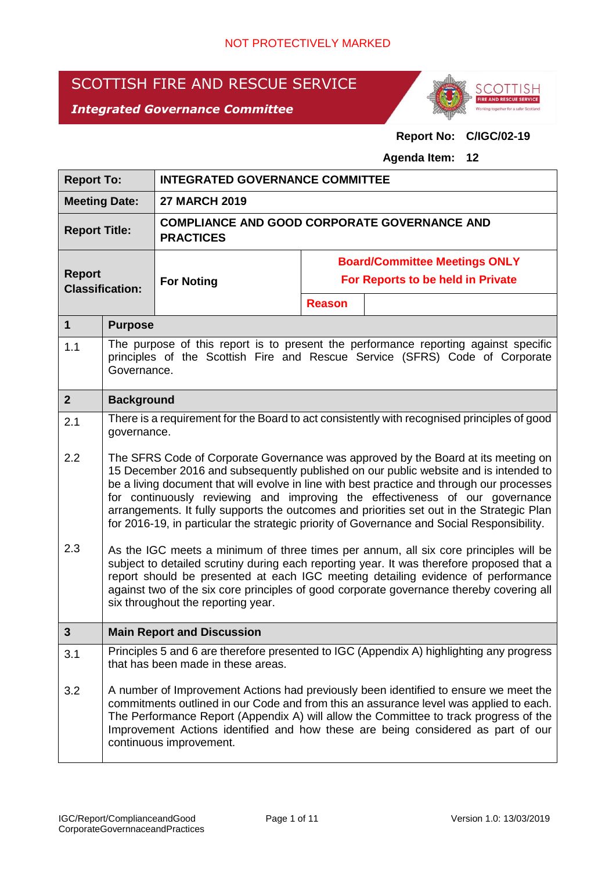# SCOTTISH FIRE AND RESCUE SERVICE

# *Integrated Governance Committee*



# **Report No: C/IGC/02-19**

#### **Agenda Item: 12**

| <b>Report To:</b>                       |                                                                                                                                                                                                                                                                                                                                                                                                                                                                                                                                                    | <b>INTEGRATED GOVERNANCE COMMITTEE</b>                                  |                                   |                                                                                             |  |  |
|-----------------------------------------|----------------------------------------------------------------------------------------------------------------------------------------------------------------------------------------------------------------------------------------------------------------------------------------------------------------------------------------------------------------------------------------------------------------------------------------------------------------------------------------------------------------------------------------------------|-------------------------------------------------------------------------|-----------------------------------|---------------------------------------------------------------------------------------------|--|--|
| <b>Meeting Date:</b>                    |                                                                                                                                                                                                                                                                                                                                                                                                                                                                                                                                                    | <b>27 MARCH 2019</b>                                                    |                                   |                                                                                             |  |  |
| <b>Report Title:</b>                    |                                                                                                                                                                                                                                                                                                                                                                                                                                                                                                                                                    | <b>COMPLIANCE AND GOOD CORPORATE GOVERNANCE AND</b><br><b>PRACTICES</b> |                                   |                                                                                             |  |  |
|                                         |                                                                                                                                                                                                                                                                                                                                                                                                                                                                                                                                                    |                                                                         |                                   | <b>Board/Committee Meetings ONLY</b>                                                        |  |  |
| <b>Report</b><br><b>Classification:</b> |                                                                                                                                                                                                                                                                                                                                                                                                                                                                                                                                                    | <b>For Noting</b>                                                       | For Reports to be held in Private |                                                                                             |  |  |
|                                         |                                                                                                                                                                                                                                                                                                                                                                                                                                                                                                                                                    |                                                                         | <b>Reason</b>                     |                                                                                             |  |  |
| 1                                       | <b>Purpose</b>                                                                                                                                                                                                                                                                                                                                                                                                                                                                                                                                     |                                                                         |                                   |                                                                                             |  |  |
| 1.1                                     | The purpose of this report is to present the performance reporting against specific<br>principles of the Scottish Fire and Rescue Service (SFRS) Code of Corporate<br>Governance.                                                                                                                                                                                                                                                                                                                                                                  |                                                                         |                                   |                                                                                             |  |  |
| $\overline{2}$                          | <b>Background</b>                                                                                                                                                                                                                                                                                                                                                                                                                                                                                                                                  |                                                                         |                                   |                                                                                             |  |  |
| 2.1                                     | governance.                                                                                                                                                                                                                                                                                                                                                                                                                                                                                                                                        |                                                                         |                                   | There is a requirement for the Board to act consistently with recognised principles of good |  |  |
| 2.2                                     | The SFRS Code of Corporate Governance was approved by the Board at its meeting on<br>15 December 2016 and subsequently published on our public website and is intended to<br>be a living document that will evolve in line with best practice and through our processes<br>for continuously reviewing and improving the effectiveness of our governance<br>arrangements. It fully supports the outcomes and priorities set out in the Strategic Plan<br>for 2016-19, in particular the strategic priority of Governance and Social Responsibility. |                                                                         |                                   |                                                                                             |  |  |
| 2.3                                     | As the IGC meets a minimum of three times per annum, all six core principles will be<br>subject to detailed scrutiny during each reporting year. It was therefore proposed that a<br>report should be presented at each IGC meeting detailing evidence of performance<br>against two of the six core principles of good corporate governance thereby covering all<br>six throughout the reporting year.                                                                                                                                            |                                                                         |                                   |                                                                                             |  |  |
| 3                                       |                                                                                                                                                                                                                                                                                                                                                                                                                                                                                                                                                    | <b>Main Report and Discussion</b>                                       |                                   |                                                                                             |  |  |
| 3.1                                     | Principles 5 and 6 are therefore presented to IGC (Appendix A) highlighting any progress<br>that has been made in these areas.                                                                                                                                                                                                                                                                                                                                                                                                                     |                                                                         |                                   |                                                                                             |  |  |
| 3.2                                     | A number of Improvement Actions had previously been identified to ensure we meet the<br>commitments outlined in our Code and from this an assurance level was applied to each.<br>The Performance Report (Appendix A) will allow the Committee to track progress of the<br>Improvement Actions identified and how these are being considered as part of our<br>continuous improvement.                                                                                                                                                             |                                                                         |                                   |                                                                                             |  |  |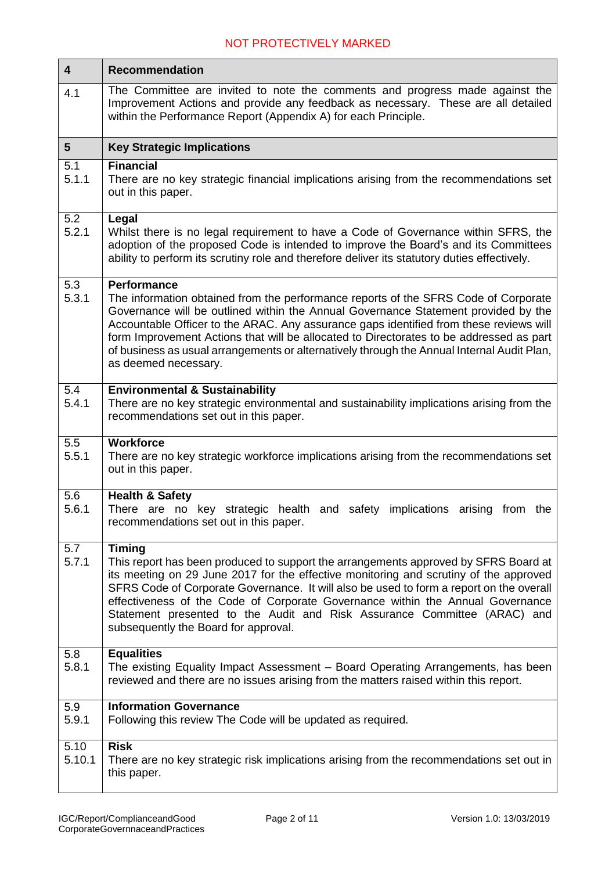| $\overline{\mathbf{4}}$ | <b>Recommendation</b>                                                                                                                                                                                                                                                                                                                                                                                                                                                                                      |  |  |  |  |
|-------------------------|------------------------------------------------------------------------------------------------------------------------------------------------------------------------------------------------------------------------------------------------------------------------------------------------------------------------------------------------------------------------------------------------------------------------------------------------------------------------------------------------------------|--|--|--|--|
| 4.1                     | The Committee are invited to note the comments and progress made against the<br>Improvement Actions and provide any feedback as necessary. These are all detailed<br>within the Performance Report (Appendix A) for each Principle.                                                                                                                                                                                                                                                                        |  |  |  |  |
| $5\phantom{.0}$         | <b>Key Strategic Implications</b>                                                                                                                                                                                                                                                                                                                                                                                                                                                                          |  |  |  |  |
| 5.1<br>5.1.1            | <b>Financial</b><br>There are no key strategic financial implications arising from the recommendations set<br>out in this paper.                                                                                                                                                                                                                                                                                                                                                                           |  |  |  |  |
| 5.2<br>5.2.1            | Legal<br>Whilst there is no legal requirement to have a Code of Governance within SFRS, the<br>adoption of the proposed Code is intended to improve the Board's and its Committees<br>ability to perform its scrutiny role and therefore deliver its statutory duties effectively.                                                                                                                                                                                                                         |  |  |  |  |
| 5.3<br>5.3.1            | <b>Performance</b><br>The information obtained from the performance reports of the SFRS Code of Corporate<br>Governance will be outlined within the Annual Governance Statement provided by the<br>Accountable Officer to the ARAC. Any assurance gaps identified from these reviews will<br>form Improvement Actions that will be allocated to Directorates to be addressed as part<br>of business as usual arrangements or alternatively through the Annual Internal Audit Plan,<br>as deemed necessary. |  |  |  |  |
| 5.4<br>5.4.1            | <b>Environmental &amp; Sustainability</b><br>There are no key strategic environmental and sustainability implications arising from the<br>recommendations set out in this paper.                                                                                                                                                                                                                                                                                                                           |  |  |  |  |
| 5.5<br>5.5.1            | <b>Workforce</b><br>There are no key strategic workforce implications arising from the recommendations set<br>out in this paper.                                                                                                                                                                                                                                                                                                                                                                           |  |  |  |  |
| 5.6<br>5.6.1            | <b>Health &amp; Safety</b><br>There are no key strategic health and safety implications arising<br>from<br>the<br>recommendations set out in this paper.                                                                                                                                                                                                                                                                                                                                                   |  |  |  |  |
| 5.7<br>5.7.1            | <b>Timing</b><br>This report has been produced to support the arrangements approved by SFRS Board at<br>its meeting on 29 June 2017 for the effective monitoring and scrutiny of the approved<br>SFRS Code of Corporate Governance. It will also be used to form a report on the overall<br>effectiveness of the Code of Corporate Governance within the Annual Governance<br>Statement presented to the Audit and Risk Assurance Committee (ARAC) and<br>subsequently the Board for approval.             |  |  |  |  |
| 5.8<br>5.8.1            | <b>Equalities</b><br>The existing Equality Impact Assessment - Board Operating Arrangements, has been<br>reviewed and there are no issues arising from the matters raised within this report.                                                                                                                                                                                                                                                                                                              |  |  |  |  |
| 5.9<br>5.9.1            | <b>Information Governance</b><br>Following this review The Code will be updated as required.                                                                                                                                                                                                                                                                                                                                                                                                               |  |  |  |  |
| 5.10<br>5.10.1          | <b>Risk</b><br>There are no key strategic risk implications arising from the recommendations set out in<br>this paper.                                                                                                                                                                                                                                                                                                                                                                                     |  |  |  |  |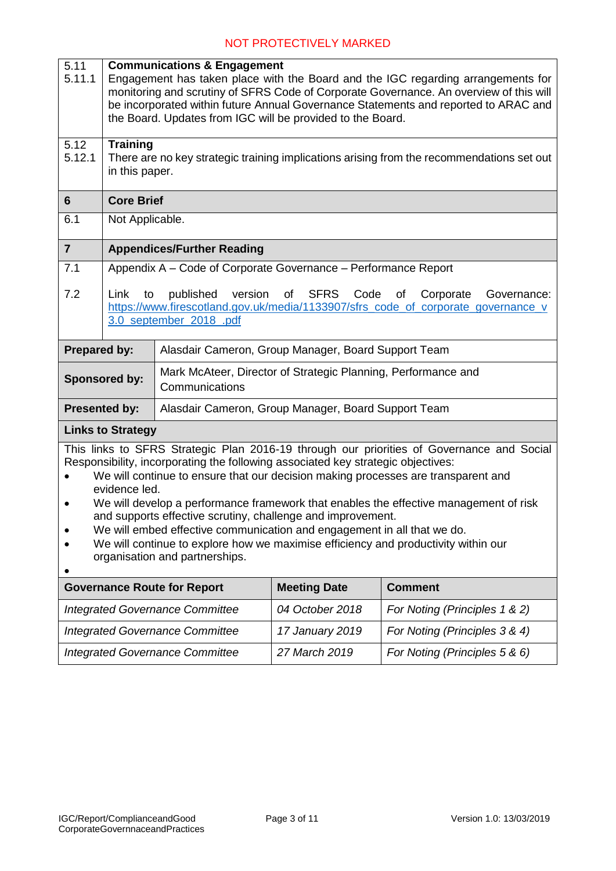| 5.11<br>5.11.1                                                                                                                                                                                                                                                                                                                                                                                                                                                                                                                                                                                                                                              | <b>Communications &amp; Engagement</b><br>Engagement has taken place with the Board and the IGC regarding arrangements for<br>monitoring and scrutiny of SFRS Code of Corporate Governance. An overview of this will<br>be incorporated within future Annual Governance Statements and reported to ARAC and<br>the Board. Updates from IGC will be provided to the Board. |                                                                |                     |                               |  |
|-------------------------------------------------------------------------------------------------------------------------------------------------------------------------------------------------------------------------------------------------------------------------------------------------------------------------------------------------------------------------------------------------------------------------------------------------------------------------------------------------------------------------------------------------------------------------------------------------------------------------------------------------------------|---------------------------------------------------------------------------------------------------------------------------------------------------------------------------------------------------------------------------------------------------------------------------------------------------------------------------------------------------------------------------|----------------------------------------------------------------|---------------------|-------------------------------|--|
| 5.12<br>5.12.1                                                                                                                                                                                                                                                                                                                                                                                                                                                                                                                                                                                                                                              | <b>Training</b><br>There are no key strategic training implications arising from the recommendations set out<br>in this paper.                                                                                                                                                                                                                                            |                                                                |                     |                               |  |
| 6                                                                                                                                                                                                                                                                                                                                                                                                                                                                                                                                                                                                                                                           | <b>Core Brief</b>                                                                                                                                                                                                                                                                                                                                                         |                                                                |                     |                               |  |
| 6.1                                                                                                                                                                                                                                                                                                                                                                                                                                                                                                                                                                                                                                                         | Not Applicable.                                                                                                                                                                                                                                                                                                                                                           |                                                                |                     |                               |  |
| $\overline{7}$                                                                                                                                                                                                                                                                                                                                                                                                                                                                                                                                                                                                                                              |                                                                                                                                                                                                                                                                                                                                                                           | <b>Appendices/Further Reading</b>                              |                     |                               |  |
| 7.1                                                                                                                                                                                                                                                                                                                                                                                                                                                                                                                                                                                                                                                         |                                                                                                                                                                                                                                                                                                                                                                           | Appendix A - Code of Corporate Governance - Performance Report |                     |                               |  |
| 7.2                                                                                                                                                                                                                                                                                                                                                                                                                                                                                                                                                                                                                                                         | published<br>version<br>of<br><b>SFRS</b><br>Code<br>Link<br>to<br>of<br>Corporate<br>Governance:<br>https://www.firescotland.gov.uk/media/1133907/sfrs_code_of_corporate_governance_v<br>3.0_september_2018_.pdf                                                                                                                                                         |                                                                |                     |                               |  |
| <b>Prepared by:</b>                                                                                                                                                                                                                                                                                                                                                                                                                                                                                                                                                                                                                                         |                                                                                                                                                                                                                                                                                                                                                                           | Alasdair Cameron, Group Manager, Board Support Team            |                     |                               |  |
| Mark McAteer, Director of Strategic Planning, Performance and<br><b>Sponsored by:</b><br>Communications                                                                                                                                                                                                                                                                                                                                                                                                                                                                                                                                                     |                                                                                                                                                                                                                                                                                                                                                                           |                                                                |                     |                               |  |
| <b>Presented by:</b><br>Alasdair Cameron, Group Manager, Board Support Team                                                                                                                                                                                                                                                                                                                                                                                                                                                                                                                                                                                 |                                                                                                                                                                                                                                                                                                                                                                           |                                                                |                     |                               |  |
|                                                                                                                                                                                                                                                                                                                                                                                                                                                                                                                                                                                                                                                             | <b>Links to Strategy</b>                                                                                                                                                                                                                                                                                                                                                  |                                                                |                     |                               |  |
| This links to SFRS Strategic Plan 2016-19 through our priorities of Governance and Social<br>Responsibility, incorporating the following associated key strategic objectives:<br>We will continue to ensure that our decision making processes are transparent and<br>evidence led.<br>We will develop a performance framework that enables the effective management of risk<br>$\bullet$<br>and supports effective scrutiny, challenge and improvement.<br>We will embed effective communication and engagement in all that we do.<br>We will continue to explore how we maximise efficiency and productivity within our<br>organisation and partnerships. |                                                                                                                                                                                                                                                                                                                                                                           |                                                                |                     |                               |  |
|                                                                                                                                                                                                                                                                                                                                                                                                                                                                                                                                                                                                                                                             |                                                                                                                                                                                                                                                                                                                                                                           | <b>Governance Route for Report</b>                             | <b>Meeting Date</b> | <b>Comment</b>                |  |
| <b>Integrated Governance Committee</b>                                                                                                                                                                                                                                                                                                                                                                                                                                                                                                                                                                                                                      |                                                                                                                                                                                                                                                                                                                                                                           |                                                                | 04 October 2018     | For Noting (Principles 1 & 2) |  |
| <b>Integrated Governance Committee</b>                                                                                                                                                                                                                                                                                                                                                                                                                                                                                                                                                                                                                      |                                                                                                                                                                                                                                                                                                                                                                           |                                                                | 17 January 2019     | For Noting (Principles 3 & 4) |  |
| 27 March 2019<br><b>Integrated Governance Committee</b>                                                                                                                                                                                                                                                                                                                                                                                                                                                                                                                                                                                                     |                                                                                                                                                                                                                                                                                                                                                                           |                                                                |                     | For Noting (Principles 5 & 6) |  |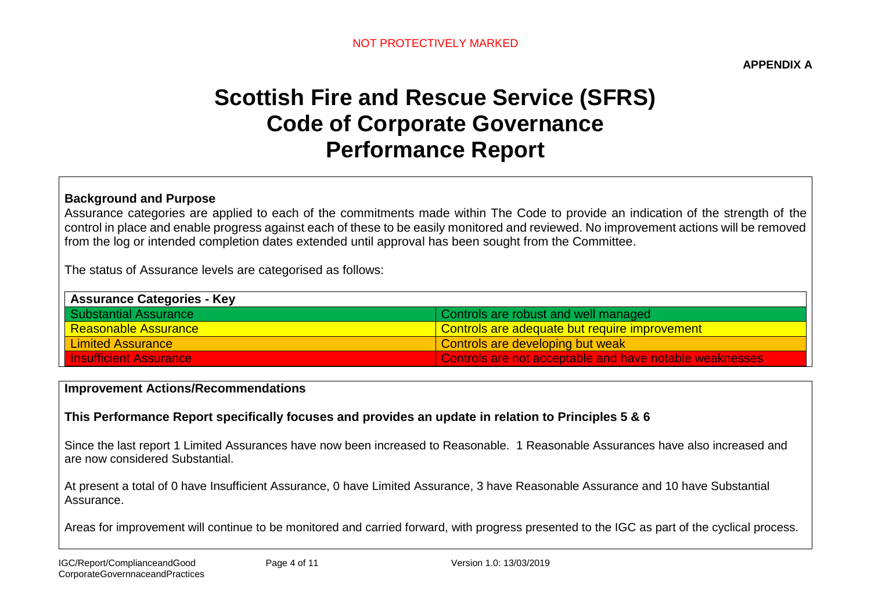**APPENDIX A**

# **Scottish Fire and Rescue Service (SFRS) Code of Corporate Governance Performance Report**

#### **Background and Purpose**

Assurance categories are applied to each of the commitments made within The Code to provide an indication of the strength of the control in place and enable progress against each of these to be easily monitored and reviewed. No improvement actions will be removed from the log or intended completion dates extended until approval has been sought from the Committee.

The status of Assurance levels are categorised as follows:

| <b>Assurance Categories - Key</b> |                                                         |
|-----------------------------------|---------------------------------------------------------|
| <b>Substantial Assurance</b>      | Controls are robust and well managed                    |
| Reasonable Assurance              | <u>l Controls are adequate but require improvement</u>  |
| <b>Limited Assurance</b>          | Controls are developing but weak                        |
| <b>Insufficient Assurance</b>     | Controls are not acceptable and have notable weaknesses |

#### **Improvement Actions/Recommendations**

# **This Performance Report specifically focuses and provides an update in relation to Principles 5 & 6**

Since the last report 1 Limited Assurances have now been increased to Reasonable. 1 Reasonable Assurances have also increased and are now considered Substantial.

At present a total of 0 have Insufficient Assurance, 0 have Limited Assurance, 3 have Reasonable Assurance and 10 have Substantial Assurance.

Areas for improvement will continue to be monitored and carried forward, with progress presented to the IGC as part of the cyclical process.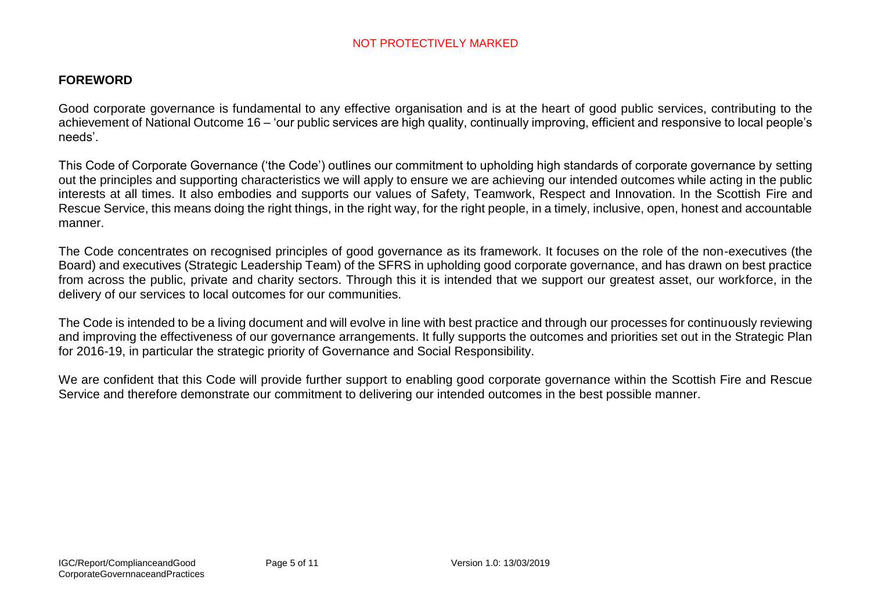#### **FOREWORD**

Good corporate governance is fundamental to any effective organisation and is at the heart of good public services, contributing to the achievement of National Outcome 16 – 'our public services are high quality, continually improving, efficient and responsive to local people's needs'.

This Code of Corporate Governance ('the Code') outlines our commitment to upholding high standards of corporate governance by setting out the principles and supporting characteristics we will apply to ensure we are achieving our intended outcomes while acting in the public interests at all times. It also embodies and supports our values of Safety, Teamwork, Respect and Innovation. In the Scottish Fire and Rescue Service, this means doing the right things, in the right way, for the right people, in a timely, inclusive, open, honest and accountable manner.

The Code concentrates on recognised principles of good governance as its framework. It focuses on the role of the non-executives (the Board) and executives (Strategic Leadership Team) of the SFRS in upholding good corporate governance, and has drawn on best practice from across the public, private and charity sectors. Through this it is intended that we support our greatest asset, our workforce, in the delivery of our services to local outcomes for our communities.

The Code is intended to be a living document and will evolve in line with best practice and through our processes for continuously reviewing and improving the effectiveness of our governance arrangements. It fully supports the outcomes and priorities set out in the Strategic Plan for 2016-19, in particular the strategic priority of Governance and Social Responsibility.

We are confident that this Code will provide further support to enabling good corporate governance within the Scottish Fire and Rescue Service and therefore demonstrate our commitment to delivering our intended outcomes in the best possible manner.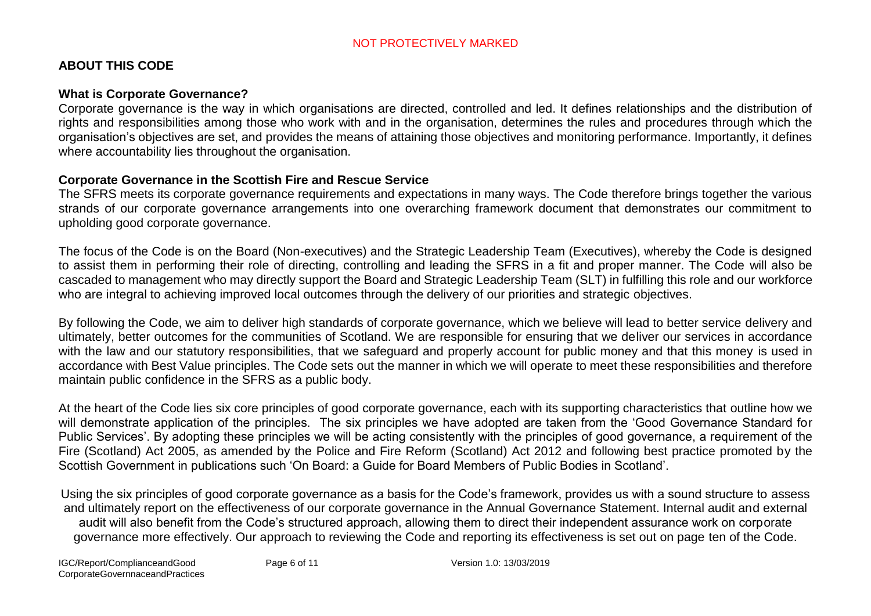# **ABOUT THIS CODE**

# **What is Corporate Governance?**

Corporate governance is the way in which organisations are directed, controlled and led. It defines relationships and the distribution of rights and responsibilities among those who work with and in the organisation, determines the rules and procedures through which the organisation's objectives are set, and provides the means of attaining those objectives and monitoring performance. Importantly, it defines where accountability lies throughout the organisation.

# **Corporate Governance in the Scottish Fire and Rescue Service**

The SFRS meets its corporate governance requirements and expectations in many ways. The Code therefore brings together the various strands of our corporate governance arrangements into one overarching framework document that demonstrates our commitment to upholding good corporate governance.

The focus of the Code is on the Board (Non-executives) and the Strategic Leadership Team (Executives), whereby the Code is designed to assist them in performing their role of directing, controlling and leading the SFRS in a fit and proper manner. The Code will also be cascaded to management who may directly support the Board and Strategic Leadership Team (SLT) in fulfilling this role and our workforce who are integral to achieving improved local outcomes through the delivery of our priorities and strategic objectives.

By following the Code, we aim to deliver high standards of corporate governance, which we believe will lead to better service delivery and ultimately, better outcomes for the communities of Scotland. We are responsible for ensuring that we deliver our services in accordance with the law and our statutory responsibilities, that we safeguard and properly account for public money and that this money is used in accordance with Best Value principles. The Code sets out the manner in which we will operate to meet these responsibilities and therefore maintain public confidence in the SFRS as a public body.

At the heart of the Code lies six core principles of good corporate governance, each with its supporting characteristics that outline how we will demonstrate application of the principles. The six principles we have adopted are taken from the 'Good Governance Standard for Public Services'. By adopting these principles we will be acting consistently with the principles of good governance, a requirement of the Fire (Scotland) Act 2005, as amended by the Police and Fire Reform (Scotland) Act 2012 and following best practice promoted by the Scottish Government in publications such 'On Board: a Guide for Board Members of Public Bodies in Scotland'.

Using the six principles of good corporate governance as a basis for the Code's framework, provides us with a sound structure to assess and ultimately report on the effectiveness of our corporate governance in the Annual Governance Statement. Internal audit and external audit will also benefit from the Code's structured approach, allowing them to direct their independent assurance work on corporate governance more effectively. Our approach to reviewing the Code and reporting its effectiveness is set out on page ten of the Code.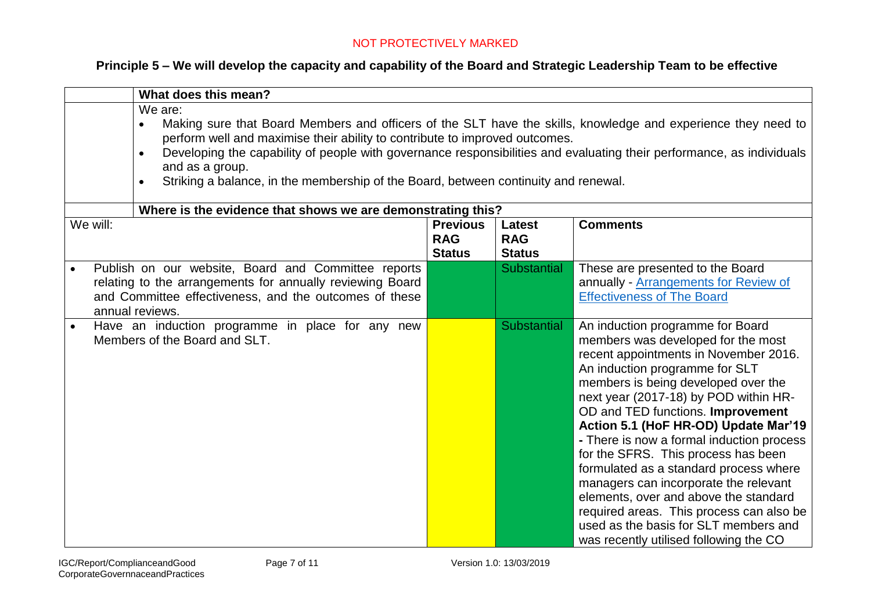# **Principle 5 – We will develop the capacity and capability of the Board and Strategic Leadership Team to be effective**

|                                                                                                                                                                                                                                                                                                                                                                                                                                                                      | What does this mean?                                                                                                                                                                          |                                                |                                              |                                                                                                                                                                                                                                                                                                                                                                                                                                                                                                                                                                                                                                                               |  |  |
|----------------------------------------------------------------------------------------------------------------------------------------------------------------------------------------------------------------------------------------------------------------------------------------------------------------------------------------------------------------------------------------------------------------------------------------------------------------------|-----------------------------------------------------------------------------------------------------------------------------------------------------------------------------------------------|------------------------------------------------|----------------------------------------------|---------------------------------------------------------------------------------------------------------------------------------------------------------------------------------------------------------------------------------------------------------------------------------------------------------------------------------------------------------------------------------------------------------------------------------------------------------------------------------------------------------------------------------------------------------------------------------------------------------------------------------------------------------------|--|--|
| We are:<br>Making sure that Board Members and officers of the SLT have the skills, knowledge and experience they need to<br>$\bullet$<br>perform well and maximise their ability to contribute to improved outcomes.<br>Developing the capability of people with governance responsibilities and evaluating their performance, as individuals<br>and as a group.<br>Striking a balance, in the membership of the Board, between continuity and renewal.<br>$\bullet$ |                                                                                                                                                                                               |                                                |                                              |                                                                                                                                                                                                                                                                                                                                                                                                                                                                                                                                                                                                                                                               |  |  |
|                                                                                                                                                                                                                                                                                                                                                                                                                                                                      | Where is the evidence that shows we are demonstrating this?                                                                                                                                   |                                                |                                              |                                                                                                                                                                                                                                                                                                                                                                                                                                                                                                                                                                                                                                                               |  |  |
| We will:                                                                                                                                                                                                                                                                                                                                                                                                                                                             |                                                                                                                                                                                               | <b>Previous</b><br><b>RAG</b><br><b>Status</b> | <b>Latest</b><br><b>RAG</b><br><b>Status</b> | <b>Comments</b>                                                                                                                                                                                                                                                                                                                                                                                                                                                                                                                                                                                                                                               |  |  |
|                                                                                                                                                                                                                                                                                                                                                                                                                                                                      | Publish on our website, Board and Committee reports<br>relating to the arrangements for annually reviewing Board<br>and Committee effectiveness, and the outcomes of these<br>annual reviews. |                                                | <b>Substantial</b>                           | These are presented to the Board<br>annually - Arrangements for Review of<br><b>Effectiveness of The Board</b>                                                                                                                                                                                                                                                                                                                                                                                                                                                                                                                                                |  |  |
|                                                                                                                                                                                                                                                                                                                                                                                                                                                                      | Have an induction programme in place for any new<br>Members of the Board and SLT.                                                                                                             |                                                | <b>Substantial</b>                           | An induction programme for Board<br>members was developed for the most<br>recent appointments in November 2016.<br>An induction programme for SLT<br>members is being developed over the<br>next year (2017-18) by POD within HR-<br>OD and TED functions. Improvement<br>Action 5.1 (HoF HR-OD) Update Mar'19<br>- There is now a formal induction process<br>for the SFRS. This process has been<br>formulated as a standard process where<br>managers can incorporate the relevant<br>elements, over and above the standard<br>required areas. This process can also be<br>used as the basis for SLT members and<br>was recently utilised following the CO |  |  |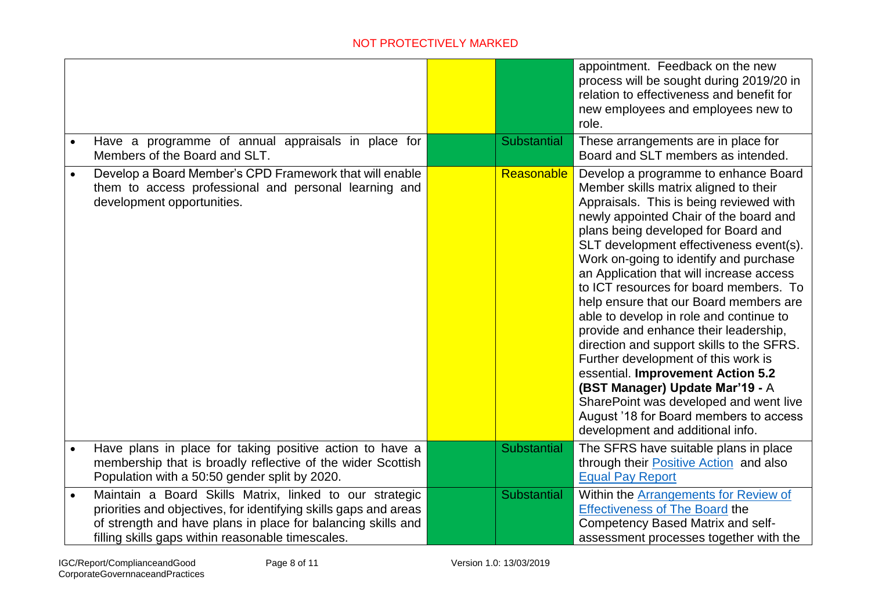|                                                                                                                                                                                                                                                  |                    | appointment. Feedback on the new<br>process will be sought during 2019/20 in<br>relation to effectiveness and benefit for<br>new employees and employees new to<br>role.                                                                                                                                                                                                                                                                                                                                                                                                                                                                                                                                                                                                                               |
|--------------------------------------------------------------------------------------------------------------------------------------------------------------------------------------------------------------------------------------------------|--------------------|--------------------------------------------------------------------------------------------------------------------------------------------------------------------------------------------------------------------------------------------------------------------------------------------------------------------------------------------------------------------------------------------------------------------------------------------------------------------------------------------------------------------------------------------------------------------------------------------------------------------------------------------------------------------------------------------------------------------------------------------------------------------------------------------------------|
| Have a programme of annual appraisals in place for<br>Members of the Board and SLT.                                                                                                                                                              | <b>Substantial</b> | These arrangements are in place for<br>Board and SLT members as intended.                                                                                                                                                                                                                                                                                                                                                                                                                                                                                                                                                                                                                                                                                                                              |
| Develop a Board Member's CPD Framework that will enable<br>them to access professional and personal learning and<br>development opportunities.                                                                                                   | <b>Reasonable</b>  | Develop a programme to enhance Board<br>Member skills matrix aligned to their<br>Appraisals. This is being reviewed with<br>newly appointed Chair of the board and<br>plans being developed for Board and<br>SLT development effectiveness event(s).<br>Work on-going to identify and purchase<br>an Application that will increase access<br>to ICT resources for board members. To<br>help ensure that our Board members are<br>able to develop in role and continue to<br>provide and enhance their leadership,<br>direction and support skills to the SFRS.<br>Further development of this work is<br>essential. Improvement Action 5.2<br>(BST Manager) Update Mar'19 - A<br>SharePoint was developed and went live<br>August '18 for Board members to access<br>development and additional info. |
| Have plans in place for taking positive action to have a<br>membership that is broadly reflective of the wider Scottish<br>Population with a 50:50 gender split by 2020.                                                                         | <b>Substantial</b> | The SFRS have suitable plans in place<br>through their <b>Positive Action</b> and also<br><b>Equal Pay Report</b>                                                                                                                                                                                                                                                                                                                                                                                                                                                                                                                                                                                                                                                                                      |
| Maintain a Board Skills Matrix, linked to our strategic<br>priorities and objectives, for identifying skills gaps and areas<br>of strength and have plans in place for balancing skills and<br>filling skills gaps within reasonable timescales. | <b>Substantial</b> | Within the Arrangements for Review of<br><b>Effectiveness of The Board the</b><br>Competency Based Matrix and self-<br>assessment processes together with the                                                                                                                                                                                                                                                                                                                                                                                                                                                                                                                                                                                                                                          |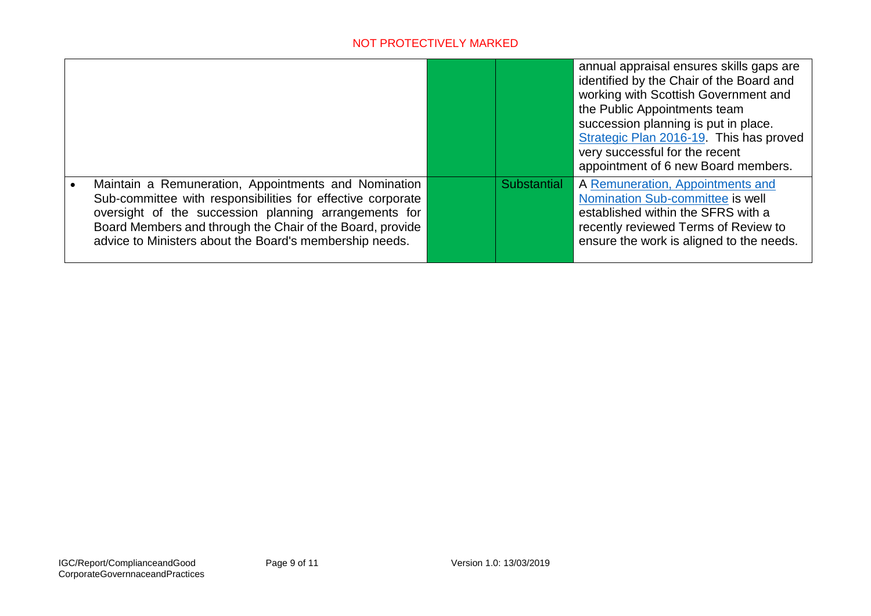|                                                                                                                                                                                                                                                                                                      |                    | annual appraisal ensures skills gaps are<br>identified by the Chair of the Board and<br>working with Scottish Government and<br>the Public Appointments team<br>succession planning is put in place.<br>Strategic Plan 2016-19. This has proved<br>very successful for the recent<br>appointment of 6 new Board members. |
|------------------------------------------------------------------------------------------------------------------------------------------------------------------------------------------------------------------------------------------------------------------------------------------------------|--------------------|--------------------------------------------------------------------------------------------------------------------------------------------------------------------------------------------------------------------------------------------------------------------------------------------------------------------------|
| Maintain a Remuneration, Appointments and Nomination<br>Sub-committee with responsibilities for effective corporate<br>oversight of the succession planning arrangements for<br>Board Members and through the Chair of the Board, provide<br>advice to Ministers about the Board's membership needs. | <b>Substantial</b> | A Remuneration, Appointments and<br>Nomination Sub-committee is well<br>established within the SFRS with a<br>recently reviewed Terms of Review to<br>ensure the work is aligned to the needs.                                                                                                                           |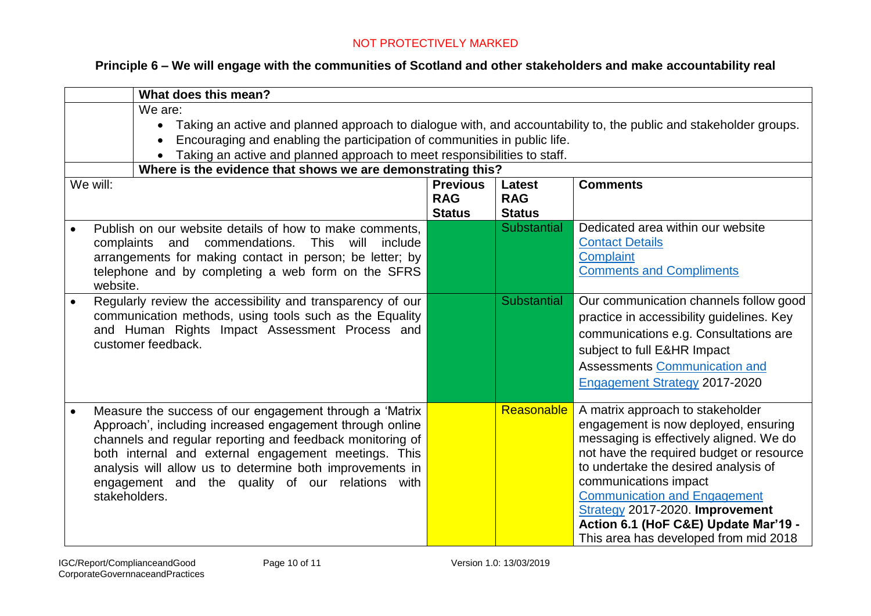# **Principle 6 – We will engage with the communities of Scotland and other stakeholders and make accountability real**

|                                                                                                                                                                                               | What does this mean?                                                                                                                                                                                                                                                                                                                                                      |                                                |                                       |                                                                                                                                                                                                                                                                                                                                                                                             |  |  |
|-----------------------------------------------------------------------------------------------------------------------------------------------------------------------------------------------|---------------------------------------------------------------------------------------------------------------------------------------------------------------------------------------------------------------------------------------------------------------------------------------------------------------------------------------------------------------------------|------------------------------------------------|---------------------------------------|---------------------------------------------------------------------------------------------------------------------------------------------------------------------------------------------------------------------------------------------------------------------------------------------------------------------------------------------------------------------------------------------|--|--|
|                                                                                                                                                                                               | We are:<br>Taking an active and planned approach to dialogue with, and accountability to, the public and stakeholder groups.<br>$\bullet$<br>Encouraging and enabling the participation of communities in public life.<br>Taking an active and planned approach to meet responsibilities to staff.<br>Where is the evidence that shows we are demonstrating this?         |                                                |                                       |                                                                                                                                                                                                                                                                                                                                                                                             |  |  |
| We will:                                                                                                                                                                                      |                                                                                                                                                                                                                                                                                                                                                                           | <b>Previous</b><br><b>RAG</b><br><b>Status</b> | Latest<br><b>RAG</b><br><b>Status</b> | <b>Comments</b>                                                                                                                                                                                                                                                                                                                                                                             |  |  |
| $\bullet$                                                                                                                                                                                     | Publish on our website details of how to make comments,<br>complaints and commendations.<br>This will<br>include<br>arrangements for making contact in person; be letter; by<br>telephone and by completing a web form on the SFRS<br>website.                                                                                                                            |                                                | <b>Substantial</b>                    | Dedicated area within our website<br><b>Contact Details</b><br>Complaint<br><b>Comments and Compliments</b>                                                                                                                                                                                                                                                                                 |  |  |
| Regularly review the accessibility and transparency of our<br>communication methods, using tools such as the Equality<br>and Human Rights Impact Assessment Process and<br>customer feedback. |                                                                                                                                                                                                                                                                                                                                                                           |                                                | <b>Substantial</b>                    | Our communication channels follow good<br>practice in accessibility guidelines. Key<br>communications e.g. Consultations are<br>subject to full E&HR Impact<br><b>Assessments Communication and</b><br><b>Engagement Strategy 2017-2020</b>                                                                                                                                                 |  |  |
|                                                                                                                                                                                               | Measure the success of our engagement through a 'Matrix<br>Approach', including increased engagement through online<br>channels and regular reporting and feedback monitoring of<br>both internal and external engagement meetings. This<br>analysis will allow us to determine both improvements in<br>engagement and the quality of our relations with<br>stakeholders. |                                                | <b>Reasonable</b>                     | A matrix approach to stakeholder<br>engagement is now deployed, ensuring<br>messaging is effectively aligned. We do<br>not have the required budget or resource<br>to undertake the desired analysis of<br>communications impact<br><b>Communication and Engagement</b><br>Strategy 2017-2020. Improvement<br>Action 6.1 (HoF C&E) Update Mar'19 -<br>This area has developed from mid 2018 |  |  |